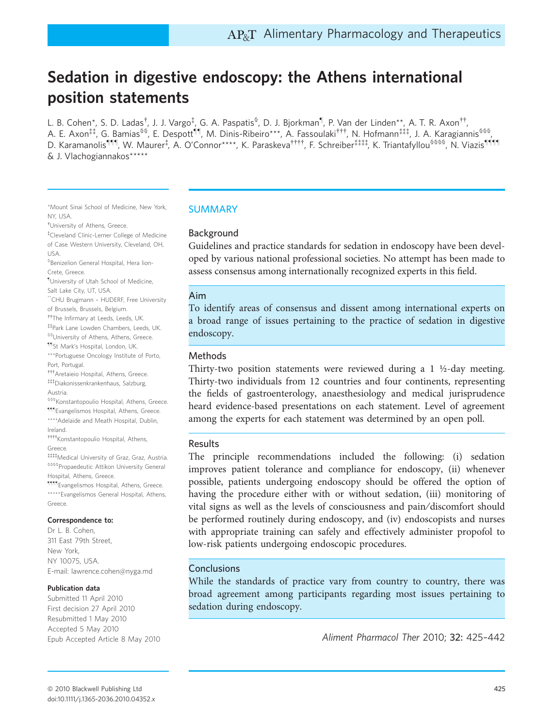# Sedation in digestive endoscopy: the Athens international position statements

L. B. Cohen\*, S. D. Ladas<sup>†</sup>, J. J. Vargo<sup>‡</sup>, G. A. Paspatis<sup>§</sup>, D. J. Bjorkman<sup>¶</sup>, P. Van der Linden\*\*, A. T. R. Axon<sup>††</sup>, A. E. Axon<sup>‡‡</sup>, G. Bamias<sup>ss</sup>, E. Despott<sup>¶¶</sup>, M. Dinis-Ribeiro\*\*\*, A. Fassoulaki<sup>†††</sup>, N. Hofmann<sup>‡‡‡</sup>, J. A. Karagiannis<sup>sss</sup>, D. Karamanolis<sup>¶¶¶</sup>, W. Maurer<sup>‡</sup>, A. O'Connor\*\*\*\*, K. Paraskeva<sup>††††</sup>, F. Schreiber<sup>‡‡‡‡</sup>, K. Triantafyllou<sup>§§§§§</sup>, N. Viazis<sup>¶¶¶</sup> & J. Vlachogiannakos\*\*\*\*\*

\*Mount Sinai School of Medicine, New York, NY, USA.

- University of Athens, Greece.

 Cleveland Clinic-Lerner College of Medicine of Case Western University, Cleveland, OH, USA.

§ Benizelion General Hospital, Hera lion-Crete, Greece.

– University of Utah School of Medicine, Salt Lake City, UT, USA.

\*\*CHU Brugmann – HUDERF, Free University of Brussels, Brussels, Belgium.

--The Infirmary at Leeds, Leeds, UK.

Park Lane Lowden Chambers, Leeds, UK. §§University of Athens, Athens, Greece.

**11**St Mark's Hospital, London, UK.

\*\*\*Portuguese Oncology Institute of Porto, Port, Portugal.

---Aretaieio Hospital, Athens, Greece. Diakonissenkrankenhaus, Salzburg, Austria.

§§§Konstantopoulio Hospital, Athens, Greece.

**111** Evangelismos Hospital, Athens, Greece.

\*\*\*\*Adelaide and Meath Hospital, Dublin,

Ireland. ----Konstantopoulio Hospital, Athens, Greece.

Medical University of Graz, Graz, Austria. §§§§Propaedeutic Attikon University General Hospital, Athens, Greece.

**1111** Evangelismos Hospital, Athens, Greece. \*\*\*\*\*Evangelismos General Hospital, Athens, Greece.

#### Correspondence to:

Dr L. B. Cohen, 311 East 79th Street, New York, NY 10075, USA. E-mail: lawrence.cohen@nyga.md

#### Publication data

Submitted 11 April 2010 First decision 27 April 2010 Resubmitted 1 May 2010 Accepted 5 May 2010 Epub Accepted Article 8 May 2010

## SUMMARY

## Background

Guidelines and practice standards for sedation in endoscopy have been developed by various national professional societies. No attempt has been made to assess consensus among internationally recognized experts in this field.

## Aim

To identify areas of consensus and dissent among international experts on a broad range of issues pertaining to the practice of sedation in digestive endoscopy.

## Methods

Thirty-two position statements were reviewed during a 1 ½-day meeting. Thirty-two individuals from 12 countries and four continents, representing the fields of gastroenterology, anaesthesiology and medical jurisprudence heard evidence-based presentations on each statement. Level of agreement among the experts for each statement was determined by an open poll.

## Results

The principle recommendations included the following: (i) sedation improves patient tolerance and compliance for endoscopy, (ii) whenever possible, patients undergoing endoscopy should be offered the option of having the procedure either with or without sedation, (iii) monitoring of vital signs as well as the levels of consciousness and pain⁄discomfort should be performed routinely during endoscopy, and (iv) endoscopists and nurses with appropriate training can safely and effectively administer propofol to low-risk patients undergoing endoscopic procedures.

## **Conclusions**

While the standards of practice vary from country to country, there was broad agreement among participants regarding most issues pertaining to sedation during endoscopy.

Aliment Pharmacol Ther 2010; 32: 425–442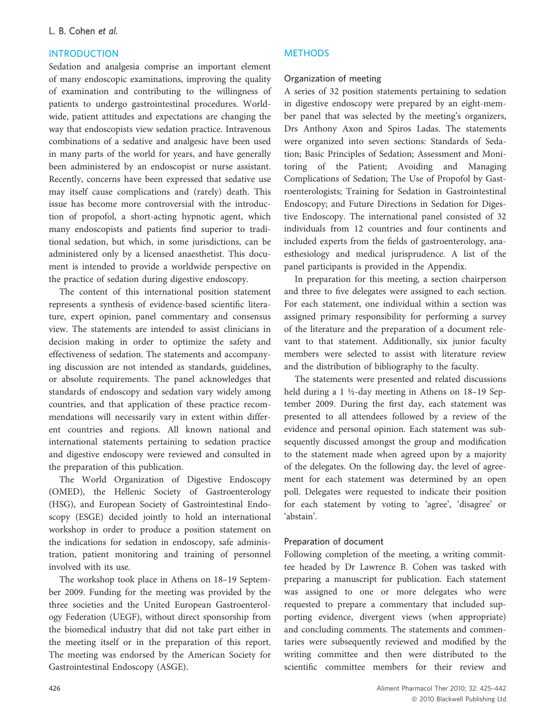## **INTRODUCTION**

Sedation and analgesia comprise an important element of many endoscopic examinations, improving the quality of examination and contributing to the willingness of patients to undergo gastrointestinal procedures. Worldwide, patient attitudes and expectations are changing the way that endoscopists view sedation practice. Intravenous combinations of a sedative and analgesic have been used in many parts of the world for years, and have generally been administered by an endoscopist or nurse assistant. Recently, concerns have been expressed that sedative use may itself cause complications and (rarely) death. This issue has become more controversial with the introduction of propofol, a short-acting hypnotic agent, which many endoscopists and patients find superior to traditional sedation, but which, in some jurisdictions, can be administered only by a licensed anaesthetist. This document is intended to provide a worldwide perspective on the practice of sedation during digestive endoscopy.

The content of this international position statement represents a synthesis of evidence-based scientific literature, expert opinion, panel commentary and consensus view. The statements are intended to assist clinicians in decision making in order to optimize the safety and effectiveness of sedation. The statements and accompanying discussion are not intended as standards, guidelines, or absolute requirements. The panel acknowledges that standards of endoscopy and sedation vary widely among countries, and that application of these practice recommendations will necessarily vary in extent within different countries and regions. All known national and international statements pertaining to sedation practice and digestive endoscopy were reviewed and consulted in the preparation of this publication.

The World Organization of Digestive Endoscopy (OMED), the Hellenic Society of Gastroenterology (HSG), and European Society of Gastrointestinal Endoscopy (ESGE) decided jointly to hold an international workshop in order to produce a position statement on the indications for sedation in endoscopy, safe administration, patient monitoring and training of personnel involved with its use.

The workshop took place in Athens on 18–19 September 2009. Funding for the meeting was provided by the three societies and the United European Gastroenterology Federation (UEGF), without direct sponsorship from the biomedical industry that did not take part either in the meeting itself or in the preparation of this report. The meeting was endorsed by the American Society for Gastrointestinal Endoscopy (ASGE).

## **METHODS**

#### Organization of meeting

A series of 32 position statements pertaining to sedation in digestive endoscopy were prepared by an eight-member panel that was selected by the meeting's organizers, Drs Anthony Axon and Spiros Ladas. The statements were organized into seven sections: Standards of Sedation; Basic Principles of Sedation; Assessment and Monitoring of the Patient; Avoiding and Managing Complications of Sedation; The Use of Propofol by Gastroenterologists; Training for Sedation in Gastrointestinal Endoscopy; and Future Directions in Sedation for Digestive Endoscopy. The international panel consisted of 32 individuals from 12 countries and four continents and included experts from the fields of gastroenterology, anaesthesiology and medical jurisprudence. A list of the panel participants is provided in the Appendix.

In preparation for this meeting, a section chairperson and three to five delegates were assigned to each section. For each statement, one individual within a section was assigned primary responsibility for performing a survey of the literature and the preparation of a document relevant to that statement. Additionally, six junior faculty members were selected to assist with literature review and the distribution of bibliography to the faculty.

The statements were presented and related discussions held during a 1 ½-day meeting in Athens on 18–19 September 2009. During the first day, each statement was presented to all attendees followed by a review of the evidence and personal opinion. Each statement was subsequently discussed amongst the group and modification to the statement made when agreed upon by a majority of the delegates. On the following day, the level of agreement for each statement was determined by an open poll. Delegates were requested to indicate their position for each statement by voting to 'agree', 'disagree' or 'abstain'.

### Preparation of document

Following completion of the meeting, a writing committee headed by Dr Lawrence B. Cohen was tasked with preparing a manuscript for publication. Each statement was assigned to one or more delegates who were requested to prepare a commentary that included supporting evidence, divergent views (when appropriate) and concluding comments. The statements and commentaries were subsequently reviewed and modified by the writing committee and then were distributed to the scientific committee members for their review and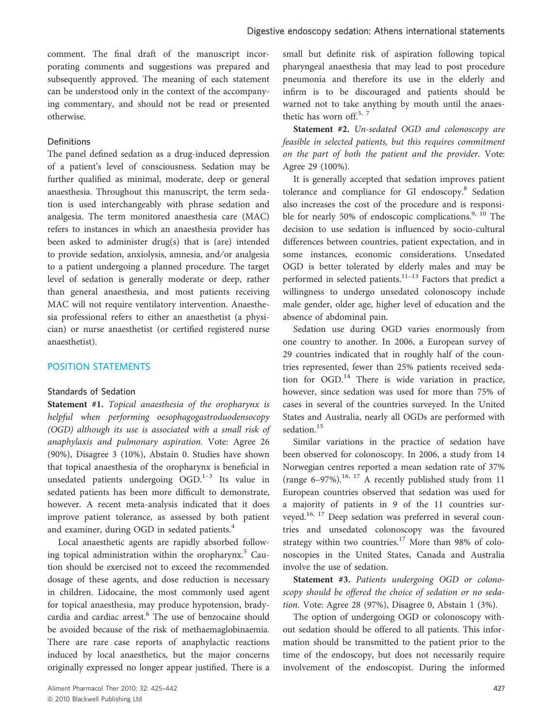comment. The final draft of the manuscript incorporating comments and suggestions was prepared and subsequently approved. The meaning of each statement can be understood only in the context of the accompanying commentary, and should not be read or presented otherwise.

### **Definitions**

The panel defined sedation as a drug-induced depression of a patient's level of consciousness. Sedation may be further qualified as minimal, moderate, deep or general anaesthesia. Throughout this manuscript, the term sedation is used interchangeably with phrase sedation and analgesia. The term monitored anaesthesia care (MAC) refers to instances in which an anaesthesia provider has been asked to administer drug(s) that is (are) intended to provide sedation, anxiolysis, amnesia, and/or analgesia to a patient undergoing a planned procedure. The target level of sedation is generally moderate or deep, rather than general anaesthesia, and most patients receiving MAC will not require ventilatory intervention. Anaesthesia professional refers to either an anaesthetist (a physician) or nurse anaesthetist (or certified registered nurse anaesthetist).

## POSITION STATEMENTS

## Standards of Sedation

Statement #1. Topical anaesthesia of the oropharynx is helpful when performing oesophagogastroduodensocopy (OGD) although its use is associated with a small risk of anaphylaxis and pulmonary aspiration. Vote: Agree 26 (90%), Disagree 3 (10%), Abstain 0. Studies have shown that topical anaesthesia of the oropharynx is beneficial in unsedated patients undergoing  $OGD$ <sup>1-3</sup> Its value in sedated patients has been more difficult to demonstrate, however. A recent meta-analysis indicated that it does improve patient tolerance, as assessed by both patient and examiner, during OGD in sedated patients.<sup>4</sup>

Local anaesthetic agents are rapidly absorbed following topical administration within the oropharynx.<sup>5</sup> Caution should be exercised not to exceed the recommended dosage of these agents, and dose reduction is necessary in children. Lidocaine, the most commonly used agent for topical anaesthesia, may produce hypotension, bradycardia and cardiac arrest.<sup>6</sup> The use of benzocaine should be avoided because of the risk of methaemaglobinaemia. There are rare case reports of anaphylactic reactions induced by local anaesthetics, but the major concerns originally expressed no longer appear justified. There is a

small but definite risk of aspiration following topical pharyngeal anaesthesia that may lead to post procedure pneumonia and therefore its use in the elderly and infirm is to be discouraged and patients should be warned not to take anything by mouth until the anaesthetic has worn off.<sup>5, 7</sup>

Statement #2. Un-sedated OGD and colonoscopy are feasible in selected patients, but this requires commitment on the part of both the patient and the provider. Vote: Agree 29 (100%).

It is generally accepted that sedation improves patient tolerance and compliance for GI endoscopy.8 Sedation also increases the cost of the procedure and is responsible for nearly 50% of endoscopic complications. $9, 10$  The decision to use sedation is influenced by socio-cultural differences between countries, patient expectation, and in some instances, economic considerations. Unsedated OGD is better tolerated by elderly males and may be performed in selected patients. $11-13$  Factors that predict a willingness to undergo unsedated colonoscopy include male gender, older age, higher level of education and the absence of abdominal pain.

Sedation use during OGD varies enormously from one country to another. In 2006, a European survey of 29 countries indicated that in roughly half of the countries represented, fewer than 25% patients received sedation for  $OGD$ .<sup>14</sup> There is wide variation in practice, however, since sedation was used for more than 75% of cases in several of the countries surveyed. In the United States and Australia, nearly all OGDs are performed with sedation.<sup>15</sup>

Similar variations in the practice of sedation have been observed for colonoscopy. In 2006, a study from 14 Norwegian centres reported a mean sedation rate of 37% (range  $6-97\%$ ).<sup>16, 17</sup> A recently published study from 11 European countries observed that sedation was used for a majority of patients in 9 of the 11 countries surveyed.<sup>16, 17</sup> Deep sedation was preferred in several countries and unsedated colonoscopy was the favoured strategy within two countries.<sup>17</sup> More than 98% of colonoscopies in the United States, Canada and Australia involve the use of sedation.

Statement #3. Patients undergoing OGD or colonoscopy should be offered the choice of sedation or no sedation. Vote: Agree 28 (97%), Disagree 0, Abstain 1 (3%).

The option of undergoing OGD or colonoscopy without sedation should be offered to all patients. This information should be transmitted to the patient prior to the time of the endoscopy, but does not necessarily require involvement of the endoscopist. During the informed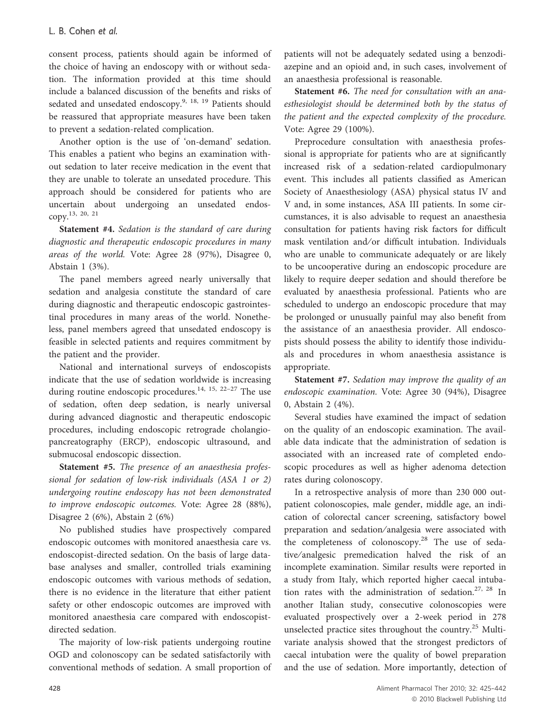consent process, patients should again be informed of the choice of having an endoscopy with or without sedation. The information provided at this time should include a balanced discussion of the benefits and risks of sedated and unsedated endoscopy.<sup>9, 18, 19</sup> Patients should be reassured that appropriate measures have been taken to prevent a sedation-related complication.

Another option is the use of 'on-demand' sedation. This enables a patient who begins an examination without sedation to later receive medication in the event that they are unable to tolerate an unsedated procedure. This approach should be considered for patients who are uncertain about undergoing an unsedated endoscopy.13, 20, 21

Statement #4. Sedation is the standard of care during diagnostic and therapeutic endoscopic procedures in many areas of the world. Vote: Agree 28 (97%), Disagree 0, Abstain 1 (3%).

The panel members agreed nearly universally that sedation and analgesia constitute the standard of care during diagnostic and therapeutic endoscopic gastrointestinal procedures in many areas of the world. Nonetheless, panel members agreed that unsedated endoscopy is feasible in selected patients and requires commitment by the patient and the provider.

National and international surveys of endoscopists indicate that the use of sedation worldwide is increasing during routine endoscopic procedures.<sup>14, 15, 22-27</sup> The use of sedation, often deep sedation, is nearly universal during advanced diagnostic and therapeutic endoscopic procedures, including endoscopic retrograde cholangiopancreatography (ERCP), endoscopic ultrasound, and submucosal endoscopic dissection.

Statement #5. The presence of an anaesthesia professional for sedation of low-risk individuals (ASA 1 or 2) undergoing routine endoscopy has not been demonstrated to improve endoscopic outcomes. Vote: Agree 28 (88%), Disagree 2 (6%), Abstain 2 (6%)

No published studies have prospectively compared endoscopic outcomes with monitored anaesthesia care vs. endoscopist-directed sedation. On the basis of large database analyses and smaller, controlled trials examining endoscopic outcomes with various methods of sedation, there is no evidence in the literature that either patient safety or other endoscopic outcomes are improved with monitored anaesthesia care compared with endoscopistdirected sedation.

The majority of low-risk patients undergoing routine OGD and colonoscopy can be sedated satisfactorily with conventional methods of sedation. A small proportion of patients will not be adequately sedated using a benzodiazepine and an opioid and, in such cases, involvement of an anaesthesia professional is reasonable.

Statement #6. The need for consultation with an anaesthesiologist should be determined both by the status of the patient and the expected complexity of the procedure. Vote: Agree 29 (100%).

Preprocedure consultation with anaesthesia professional is appropriate for patients who are at significantly increased risk of a sedation-related cardiopulmonary event. This includes all patients classified as American Society of Anaesthesiology (ASA) physical status IV and V and, in some instances, ASA III patients. In some circumstances, it is also advisable to request an anaesthesia consultation for patients having risk factors for difficult mask ventilation and/or difficult intubation. Individuals who are unable to communicate adequately or are likely to be uncooperative during an endoscopic procedure are likely to require deeper sedation and should therefore be evaluated by anaesthesia professional. Patients who are scheduled to undergo an endoscopic procedure that may be prolonged or unusually painful may also benefit from the assistance of an anaesthesia provider. All endoscopists should possess the ability to identify those individuals and procedures in whom anaesthesia assistance is appropriate.

Statement #7. Sedation may improve the quality of an endoscopic examination. Vote: Agree 30 (94%), Disagree 0, Abstain 2 (4%).

Several studies have examined the impact of sedation on the quality of an endoscopic examination. The available data indicate that the administration of sedation is associated with an increased rate of completed endoscopic procedures as well as higher adenoma detection rates during colonoscopy.

In a retrospective analysis of more than 230 000 outpatient colonoscopies, male gender, middle age, an indication of colorectal cancer screening, satisfactory bowel preparation and sedation/analgesia were associated with the completeness of colonoscopy. $28$  The use of sedative ⁄ analgesic premedication halved the risk of an incomplete examination. Similar results were reported in a study from Italy, which reported higher caecal intubation rates with the administration of sedation.<sup>27, 28</sup> In another Italian study, consecutive colonoscopies were evaluated prospectively over a 2-week period in 278 unselected practice sites throughout the country.<sup>25</sup> Multivariate analysis showed that the strongest predictors of caecal intubation were the quality of bowel preparation and the use of sedation. More importantly, detection of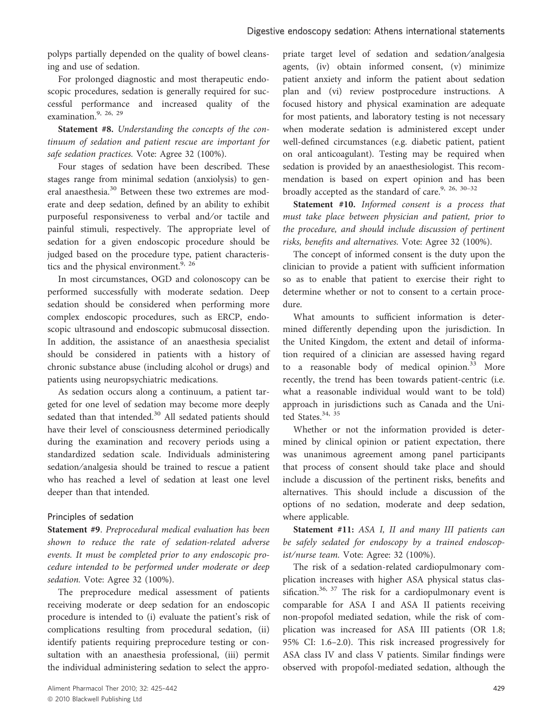polyps partially depended on the quality of bowel cleansing and use of sedation.

For prolonged diagnostic and most therapeutic endoscopic procedures, sedation is generally required for successful performance and increased quality of the examination.<sup>9, 26, 29</sup>

Statement #8. Understanding the concepts of the continuum of sedation and patient rescue are important for safe sedation practices. Vote: Agree 32 (100%).

Four stages of sedation have been described. These stages range from minimal sedation (anxiolysis) to general anaesthesia.<sup>30</sup> Between these two extremes are moderate and deep sedation, defined by an ability to exhibit purposeful responsiveness to verbal and/or tactile and painful stimuli, respectively. The appropriate level of sedation for a given endoscopic procedure should be judged based on the procedure type, patient characteristics and the physical environment.<sup>9, 26</sup>

In most circumstances, OGD and colonoscopy can be performed successfully with moderate sedation. Deep sedation should be considered when performing more complex endoscopic procedures, such as ERCP, endoscopic ultrasound and endoscopic submucosal dissection. In addition, the assistance of an anaesthesia specialist should be considered in patients with a history of chronic substance abuse (including alcohol or drugs) and patients using neuropsychiatric medications.

As sedation occurs along a continuum, a patient targeted for one level of sedation may become more deeply sedated than that intended.<sup>30</sup> All sedated patients should have their level of consciousness determined periodically during the examination and recovery periods using a standardized sedation scale. Individuals administering sedation/analgesia should be trained to rescue a patient who has reached a level of sedation at least one level deeper than that intended.

## Principles of sedation

Statement #9. Preprocedural medical evaluation has been shown to reduce the rate of sedation-related adverse events. It must be completed prior to any endoscopic procedure intended to be performed under moderate or deep sedation. Vote: Agree 32 (100%).

The preprocedure medical assessment of patients receiving moderate or deep sedation for an endoscopic procedure is intended to (i) evaluate the patient's risk of complications resulting from procedural sedation, (ii) identify patients requiring preprocedure testing or consultation with an anaesthesia professional, (iii) permit the individual administering sedation to select the appropriate target level of sedation and sedation/analgesia agents, (iv) obtain informed consent, (v) minimize patient anxiety and inform the patient about sedation plan and (vi) review postprocedure instructions. A focused history and physical examination are adequate for most patients, and laboratory testing is not necessary when moderate sedation is administered except under well-defined circumstances (e.g. diabetic patient, patient on oral anticoagulant). Testing may be required when sedation is provided by an anaesthesiologist. This recommendation is based on expert opinion and has been broadly accepted as the standard of care.<sup>9, 26, 30-32</sup>

Statement #10. Informed consent is a process that must take place between physician and patient, prior to the procedure, and should include discussion of pertinent risks, benefits and alternatives. Vote: Agree 32 (100%).

The concept of informed consent is the duty upon the clinician to provide a patient with sufficient information so as to enable that patient to exercise their right to determine whether or not to consent to a certain procedure.

What amounts to sufficient information is determined differently depending upon the jurisdiction. In the United Kingdom, the extent and detail of information required of a clinician are assessed having regard to a reasonable body of medical opinion.<sup>33</sup> More recently, the trend has been towards patient-centric (i.e. what a reasonable individual would want to be told) approach in jurisdictions such as Canada and the United States.<sup>34, 35</sup>

Whether or not the information provided is determined by clinical opinion or patient expectation, there was unanimous agreement among panel participants that process of consent should take place and should include a discussion of the pertinent risks, benefits and alternatives. This should include a discussion of the options of no sedation, moderate and deep sedation, where applicable.

Statement #11: ASA I, II and many III patients can be safely sedated for endoscopy by a trained endoscopist⁄ nurse team. Vote: Agree: 32 (100%).

The risk of a sedation-related cardiopulmonary complication increases with higher ASA physical status classification. $36, 37$  The risk for a cardiopulmonary event is comparable for ASA I and ASA II patients receiving non-propofol mediated sedation, while the risk of complication was increased for ASA III patients (OR 1.8; 95% CI: 1.6–2.0). This risk increased progressively for ASA class IV and class V patients. Similar findings were observed with propofol-mediated sedation, although the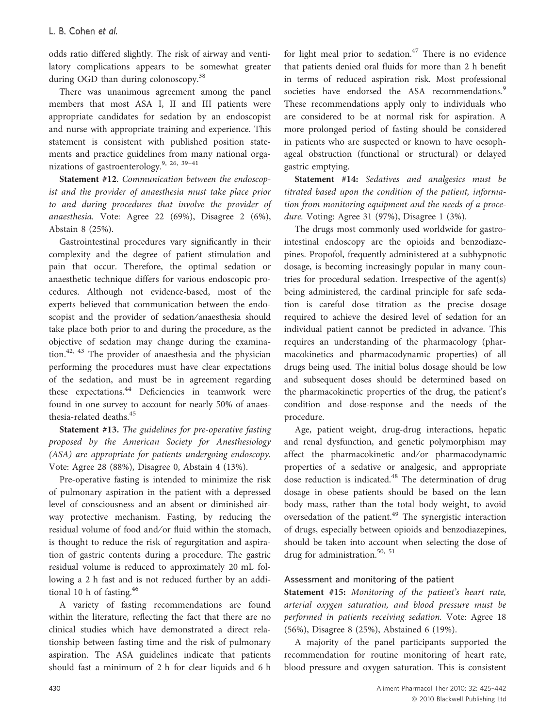odds ratio differed slightly. The risk of airway and ventilatory complications appears to be somewhat greater during OGD than during colonoscopy.<sup>38</sup>

There was unanimous agreement among the panel members that most ASA I, II and III patients were appropriate candidates for sedation by an endoscopist and nurse with appropriate training and experience. This statement is consistent with published position statements and practice guidelines from many national organizations of gastroenterology.9, 26, 39–41

Statement #12. Communication between the endoscopist and the provider of anaesthesia must take place prior to and during procedures that involve the provider of anaesthesia. Vote: Agree 22 (69%), Disagree 2 (6%), Abstain 8 (25%).

Gastrointestinal procedures vary significantly in their complexity and the degree of patient stimulation and pain that occur. Therefore, the optimal sedation or anaesthetic technique differs for various endoscopic procedures. Although not evidence-based, most of the experts believed that communication between the endoscopist and the provider of sedation/anaesthesia should take place both prior to and during the procedure, as the objective of sedation may change during the examination.<sup>42, 43</sup> The provider of anaesthesia and the physician performing the procedures must have clear expectations of the sedation, and must be in agreement regarding these expectations.<sup>44</sup> Deficiencies in teamwork were found in one survey to account for nearly 50% of anaesthesia-related deaths.45

Statement #13. The guidelines for pre-operative fasting proposed by the American Society for Anesthesiology (ASA) are appropriate for patients undergoing endoscopy. Vote: Agree 28 (88%), Disagree 0, Abstain 4 (13%).

Pre-operative fasting is intended to minimize the risk of pulmonary aspiration in the patient with a depressed level of consciousness and an absent or diminished airway protective mechanism. Fasting, by reducing the residual volume of food and/or fluid within the stomach, is thought to reduce the risk of regurgitation and aspiration of gastric contents during a procedure. The gastric residual volume is reduced to approximately 20 mL following a 2 h fast and is not reduced further by an additional 10 h of fasting.46

A variety of fasting recommendations are found within the literature, reflecting the fact that there are no clinical studies which have demonstrated a direct relationship between fasting time and the risk of pulmonary aspiration. The ASA guidelines indicate that patients should fast a minimum of 2 h for clear liquids and 6 h

for light meal prior to sedation. $47$  There is no evidence that patients denied oral fluids for more than 2 h benefit in terms of reduced aspiration risk. Most professional societies have endorsed the ASA recommendations.<sup>9</sup> These recommendations apply only to individuals who are considered to be at normal risk for aspiration. A more prolonged period of fasting should be considered in patients who are suspected or known to have oesophageal obstruction (functional or structural) or delayed gastric emptying.

Statement #14: Sedatives and analgesics must be titrated based upon the condition of the patient, information from monitoring equipment and the needs of a procedure. Voting: Agree 31 (97%), Disagree 1 (3%).

The drugs most commonly used worldwide for gastrointestinal endoscopy are the opioids and benzodiazepines. Propofol, frequently administered at a subhypnotic dosage, is becoming increasingly popular in many countries for procedural sedation. Irrespective of the agent(s) being administered, the cardinal principle for safe sedation is careful dose titration as the precise dosage required to achieve the desired level of sedation for an individual patient cannot be predicted in advance. This requires an understanding of the pharmacology (pharmacokinetics and pharmacodynamic properties) of all drugs being used. The initial bolus dosage should be low and subsequent doses should be determined based on the pharmacokinetic properties of the drug, the patient's condition and dose-response and the needs of the procedure.

Age, patient weight, drug-drug interactions, hepatic and renal dysfunction, and genetic polymorphism may affect the pharmacokinetic and/or pharmacodynamic properties of a sedative or analgesic, and appropriate dose reduction is indicated.<sup>48</sup> The determination of drug dosage in obese patients should be based on the lean body mass, rather than the total body weight, to avoid oversedation of the patient.<sup>49</sup> The synergistic interaction of drugs, especially between opioids and benzodiazepines, should be taken into account when selecting the dose of drug for administration.<sup>50, 51</sup>

# Assessment and monitoring of the patient

Statement #15: Monitoring of the patient's heart rate, arterial oxygen saturation, and blood pressure must be performed in patients receiving sedation. Vote: Agree 18 (56%), Disagree 8 (25%), Abstained 6 (19%).

A majority of the panel participants supported the recommendation for routine monitoring of heart rate, blood pressure and oxygen saturation. This is consistent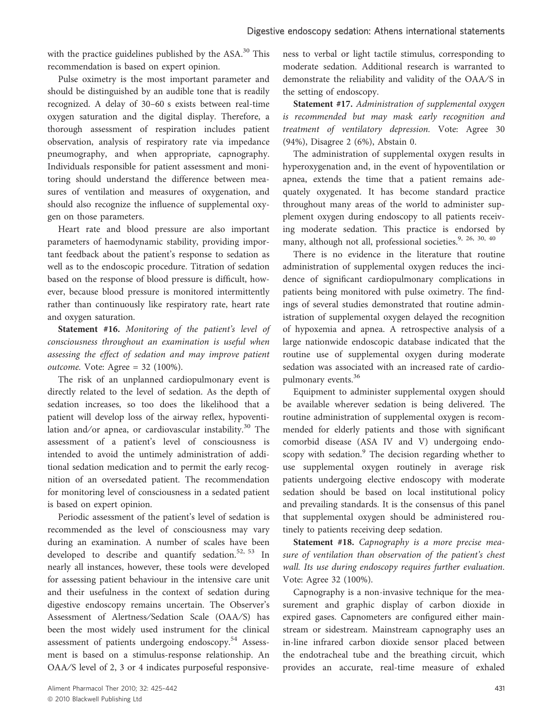with the practice guidelines published by the  $ASA^{30}$ . This recommendation is based on expert opinion.

Pulse oximetry is the most important parameter and should be distinguished by an audible tone that is readily recognized. A delay of 30–60 s exists between real-time oxygen saturation and the digital display. Therefore, a thorough assessment of respiration includes patient observation, analysis of respiratory rate via impedance pneumography, and when appropriate, capnography. Individuals responsible for patient assessment and monitoring should understand the difference between measures of ventilation and measures of oxygenation, and should also recognize the influence of supplemental oxygen on those parameters.

Heart rate and blood pressure are also important parameters of haemodynamic stability, providing important feedback about the patient's response to sedation as well as to the endoscopic procedure. Titration of sedation based on the response of blood pressure is difficult, however, because blood pressure is monitored intermittently rather than continuously like respiratory rate, heart rate and oxygen saturation.

Statement #16. Monitoring of the patient's level of consciousness throughout an examination is useful when assessing the effect of sedation and may improve patient outcome. Vote: Agree  $= 32$  (100%).

The risk of an unplanned cardiopulmonary event is directly related to the level of sedation. As the depth of sedation increases, so too does the likelihood that a patient will develop loss of the airway reflex, hypoventilation and/or apnea, or cardiovascular instability.<sup>30</sup> The assessment of a patient's level of consciousness is intended to avoid the untimely administration of additional sedation medication and to permit the early recognition of an oversedated patient. The recommendation for monitoring level of consciousness in a sedated patient is based on expert opinion.

Periodic assessment of the patient's level of sedation is recommended as the level of consciousness may vary during an examination. A number of scales have been developed to describe and quantify sedation.<sup>52, 53</sup> In nearly all instances, however, these tools were developed for assessing patient behaviour in the intensive care unit and their usefulness in the context of sedation during digestive endoscopy remains uncertain. The Observer's Assessment of Alertness/Sedation Scale (OAA/S) has been the most widely used instrument for the clinical assessment of patients undergoing endoscopy.54 Assessment is based on a stimulus-response relationship. An OAA/S level of 2, 3 or 4 indicates purposeful responsiveness to verbal or light tactile stimulus, corresponding to moderate sedation. Additional research is warranted to demonstrate the reliability and validity of the OAA/S in the setting of endoscopy.

Statement #17. Administration of supplemental oxygen is recommended but may mask early recognition and treatment of ventilatory depression. Vote: Agree 30 (94%), Disagree 2 (6%), Abstain 0.

The administration of supplemental oxygen results in hyperoxygenation and, in the event of hypoventilation or apnea, extends the time that a patient remains adequately oxygenated. It has become standard practice throughout many areas of the world to administer supplement oxygen during endoscopy to all patients receiving moderate sedation. This practice is endorsed by many, although not all, professional societies.<sup>9, 26, 30, 40</sup>

There is no evidence in the literature that routine administration of supplemental oxygen reduces the incidence of significant cardiopulmonary complications in patients being monitored with pulse oximetry. The findings of several studies demonstrated that routine administration of supplemental oxygen delayed the recognition of hypoxemia and apnea. A retrospective analysis of a large nationwide endoscopic database indicated that the routine use of supplemental oxygen during moderate sedation was associated with an increased rate of cardiopulmonary events.<sup>36</sup>

Equipment to administer supplemental oxygen should be available wherever sedation is being delivered. The routine administration of supplemental oxygen is recommended for elderly patients and those with significant comorbid disease (ASA IV and V) undergoing endoscopy with sedation.<sup>9</sup> The decision regarding whether to use supplemental oxygen routinely in average risk patients undergoing elective endoscopy with moderate sedation should be based on local institutional policy and prevailing standards. It is the consensus of this panel that supplemental oxygen should be administered routinely to patients receiving deep sedation.

Statement #18. Capnography is a more precise measure of ventilation than observation of the patient's chest wall. Its use during endoscopy requires further evaluation. Vote: Agree 32 (100%).

Capnography is a non-invasive technique for the measurement and graphic display of carbon dioxide in expired gases. Capnometers are configured either mainstream or sidestream. Mainstream capnography uses an in-line infrared carbon dioxide sensor placed between the endotracheal tube and the breathing circuit, which provides an accurate, real-time measure of exhaled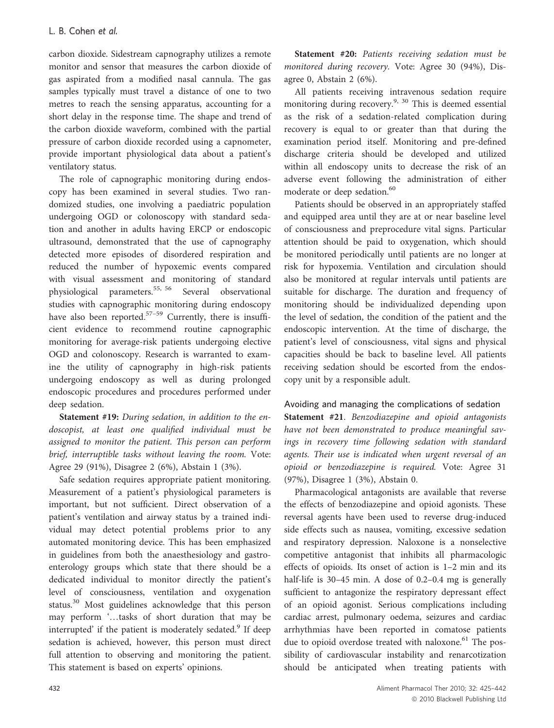carbon dioxide. Sidestream capnography utilizes a remote monitor and sensor that measures the carbon dioxide of gas aspirated from a modified nasal cannula. The gas samples typically must travel a distance of one to two metres to reach the sensing apparatus, accounting for a short delay in the response time. The shape and trend of the carbon dioxide waveform, combined with the partial pressure of carbon dioxide recorded using a capnometer, provide important physiological data about a patient's ventilatory status.

The role of capnographic monitoring during endoscopy has been examined in several studies. Two randomized studies, one involving a paediatric population undergoing OGD or colonoscopy with standard sedation and another in adults having ERCP or endoscopic ultrasound, demonstrated that the use of capnography detected more episodes of disordered respiration and reduced the number of hypoxemic events compared with visual assessment and monitoring of standard physiological parameters.<sup>55, 56</sup> Several observational studies with capnographic monitoring during endoscopy have also been reported. $57-59$  Currently, there is insufficient evidence to recommend routine capnographic monitoring for average-risk patients undergoing elective OGD and colonoscopy. Research is warranted to examine the utility of capnography in high-risk patients undergoing endoscopy as well as during prolonged endoscopic procedures and procedures performed under deep sedation.

Statement #19: During sedation, in addition to the endoscopist, at least one qualified individual must be assigned to monitor the patient. This person can perform brief, interruptible tasks without leaving the room. Vote: Agree 29 (91%), Disagree 2 (6%), Abstain 1 (3%).

Safe sedation requires appropriate patient monitoring. Measurement of a patient's physiological parameters is important, but not sufficient. Direct observation of a patient's ventilation and airway status by a trained individual may detect potential problems prior to any automated monitoring device. This has been emphasized in guidelines from both the anaesthesiology and gastroenterology groups which state that there should be a dedicated individual to monitor directly the patient's level of consciousness, ventilation and oxygenation status.<sup>30</sup> Most guidelines acknowledge that this person may perform '…tasks of short duration that may be interrupted' if the patient is moderately sedated.<sup>9</sup> If deep sedation is achieved, however, this person must direct full attention to observing and monitoring the patient. This statement is based on experts' opinions.

Statement #20: Patients receiving sedation must be monitored during recovery. Vote: Agree 30 (94%), Disagree 0, Abstain 2 (6%).

All patients receiving intravenous sedation require monitoring during recovery.<sup>9, 30</sup> This is deemed essential as the risk of a sedation-related complication during recovery is equal to or greater than that during the examination period itself. Monitoring and pre-defined discharge criteria should be developed and utilized within all endoscopy units to decrease the risk of an adverse event following the administration of either moderate or deep sedation.<sup>60</sup>

Patients should be observed in an appropriately staffed and equipped area until they are at or near baseline level of consciousness and preprocedure vital signs. Particular attention should be paid to oxygenation, which should be monitored periodically until patients are no longer at risk for hypoxemia. Ventilation and circulation should also be monitored at regular intervals until patients are suitable for discharge. The duration and frequency of monitoring should be individualized depending upon the level of sedation, the condition of the patient and the endoscopic intervention. At the time of discharge, the patient's level of consciousness, vital signs and physical capacities should be back to baseline level. All patients receiving sedation should be escorted from the endoscopy unit by a responsible adult.

## Avoiding and managing the complications of sedation

Statement #21. Benzodiazepine and opioid antagonists have not been demonstrated to produce meaningful savings in recovery time following sedation with standard agents. Their use is indicated when urgent reversal of an opioid or benzodiazepine is required. Vote: Agree 31 (97%), Disagree 1 (3%), Abstain 0.

Pharmacological antagonists are available that reverse the effects of benzodiazepine and opioid agonists. These reversal agents have been used to reverse drug-induced side effects such as nausea, vomiting, excessive sedation and respiratory depression. Naloxone is a nonselective competitive antagonist that inhibits all pharmacologic effects of opioids. Its onset of action is 1–2 min and its half-life is 30–45 min. A dose of 0.2–0.4 mg is generally sufficient to antagonize the respiratory depressant effect of an opioid agonist. Serious complications including cardiac arrest, pulmonary oedema, seizures and cardiac arrhythmias have been reported in comatose patients due to opioid overdose treated with naloxone.<sup>61</sup> The possibility of cardiovascular instability and renarcotization should be anticipated when treating patients with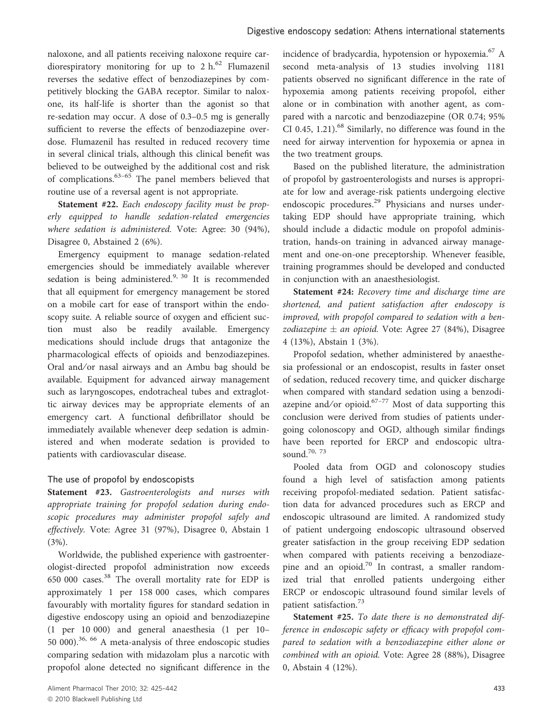naloxone, and all patients receiving naloxone require cardiorespiratory monitoring for up to  $2 h<sup>62</sup>$  Flumazenil reverses the sedative effect of benzodiazepines by competitively blocking the GABA receptor. Similar to naloxone, its half-life is shorter than the agonist so that re-sedation may occur. A dose of 0.3–0.5 mg is generally sufficient to reverse the effects of benzodiazepine overdose. Flumazenil has resulted in reduced recovery time in several clinical trials, although this clinical benefit was believed to be outweighed by the additional cost and risk of complications. $63-65$  The panel members believed that routine use of a reversal agent is not appropriate.

Statement #22. Each endoscopy facility must be properly equipped to handle sedation-related emergencies where sedation is administered. Vote: Agree: 30 (94%), Disagree 0, Abstained 2 (6%).

Emergency equipment to manage sedation-related emergencies should be immediately available wherever sedation is being administered.<sup>9, 30</sup> It is recommended that all equipment for emergency management be stored on a mobile cart for ease of transport within the endoscopy suite. A reliable source of oxygen and efficient suction must also be readily available. Emergency medications should include drugs that antagonize the pharmacological effects of opioids and benzodiazepines. Oral and/or nasal airways and an Ambu bag should be available. Equipment for advanced airway management such as laryngoscopes, endotracheal tubes and extraglottic airway devices may be appropriate elements of an emergency cart. A functional defibrillator should be immediately available whenever deep sedation is administered and when moderate sedation is provided to patients with cardiovascular disease.

# The use of propofol by endoscopists

Statement #23. Gastroenterologists and nurses with appropriate training for propofol sedation during endoscopic procedures may administer propofol safely and effectively. Vote: Agree 31 (97%), Disagree 0, Abstain 1 (3%).

Worldwide, the published experience with gastroenterologist-directed propofol administration now exceeds 650 000 cases.<sup>38</sup> The overall mortality rate for EDP is approximately 1 per 158 000 cases, which compares favourably with mortality figures for standard sedation in digestive endoscopy using an opioid and benzodiazepine (1 per 10 000) and general anaesthesia (1 per 10– 50 000).<sup>36, 66</sup> A meta-analysis of three endoscopic studies comparing sedation with midazolam plus a narcotic with propofol alone detected no significant difference in the incidence of bradycardia, hypotension or hypoxemia.67 A second meta-analysis of 13 studies involving 1181 patients observed no significant difference in the rate of hypoxemia among patients receiving propofol, either alone or in combination with another agent, as compared with a narcotic and benzodiazepine (OR 0.74; 95% CI 0.45, 1.21). $^{68}$  Similarly, no difference was found in the need for airway intervention for hypoxemia or apnea in the two treatment groups.

Based on the published literature, the administration of propofol by gastroenterologists and nurses is appropriate for low and average-risk patients undergoing elective endoscopic procedures.<sup>29</sup> Physicians and nurses undertaking EDP should have appropriate training, which should include a didactic module on propofol administration, hands-on training in advanced airway management and one-on-one preceptorship. Whenever feasible, training programmes should be developed and conducted in conjunction with an anaesthesiologist.

Statement #24: Recovery time and discharge time are shortened, and patient satisfaction after endoscopy is improved, with propofol compared to sedation with a benzodiazepine  $\pm$  an opioid. Vote: Agree 27 (84%), Disagree 4 (13%), Abstain 1 (3%).

Propofol sedation, whether administered by anaesthesia professional or an endoscopist, results in faster onset of sedation, reduced recovery time, and quicker discharge when compared with standard sedation using a benzodiazepine and/or opioid. $67-77$  Most of data supporting this conclusion were derived from studies of patients undergoing colonoscopy and OGD, although similar findings have been reported for ERCP and endoscopic ultrasound  $70, 73$ 

Pooled data from OGD and colonoscopy studies found a high level of satisfaction among patients receiving propofol-mediated sedation. Patient satisfaction data for advanced procedures such as ERCP and endoscopic ultrasound are limited. A randomized study of patient undergoing endoscopic ultrasound observed greater satisfaction in the group receiving EDP sedation when compared with patients receiving a benzodiazepine and an opioid. $70$  In contrast, a smaller randomized trial that enrolled patients undergoing either ERCP or endoscopic ultrasound found similar levels of patient satisfaction.<sup>73</sup>

Statement #25. To date there is no demonstrated difference in endoscopic safety or efficacy with propofol compared to sedation with a benzodiazepine either alone or combined with an opioid. Vote: Agree 28 (88%), Disagree 0, Abstain 4 (12%).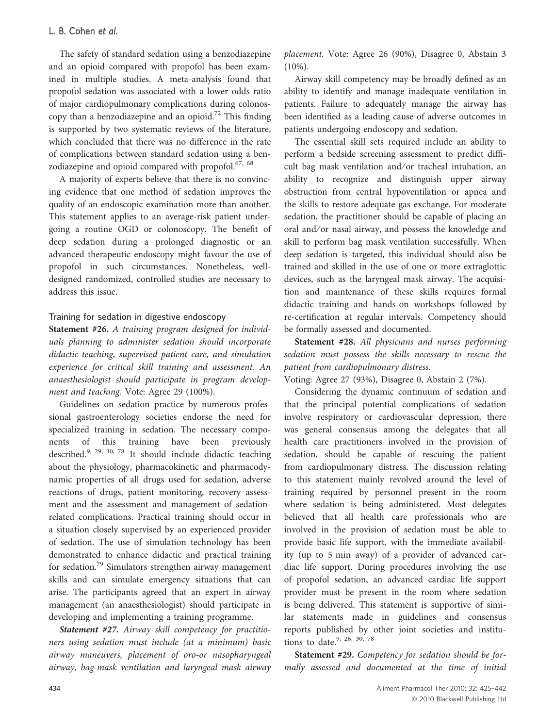The safety of standard sedation using a benzodiazepine and an opioid compared with propofol has been examined in multiple studies. A meta-analysis found that propofol sedation was associated with a lower odds ratio of major cardiopulmonary complications during colonoscopy than a benzodiazepine and an opioid.<sup>72</sup> This finding is supported by two systematic reviews of the literature, which concluded that there was no difference in the rate of complications between standard sedation using a benzodiazepine and opioid compared with propofol. $67, 68$ 

A majority of experts believe that there is no convincing evidence that one method of sedation improves the quality of an endoscopic examination more than another. This statement applies to an average-risk patient undergoing a routine OGD or colonoscopy. The benefit of deep sedation during a prolonged diagnostic or an advanced therapeutic endoscopy might favour the use of propofol in such circumstances. Nonetheless, welldesigned randomized, controlled studies are necessary to address this issue.

## Training for sedation in digestive endoscopy

Statement #26. A training program designed for individuals planning to administer sedation should incorporate didactic teaching, supervised patient care, and simulation experience for critical skill training and assessment. An anaesthesiologist should participate in program development and teaching. Vote: Agree 29 (100%).

Guidelines on sedation practice by numerous professional gastroenterology societies endorse the need for specialized training in sedation. The necessary components of this training have been previously described.9, 29, 30, 78 It should include didactic teaching about the physiology, pharmacokinetic and pharmacodynamic properties of all drugs used for sedation, adverse reactions of drugs, patient monitoring, recovery assessment and the assessment and management of sedationrelated complications. Practical training should occur in a situation closely supervised by an experienced provider of sedation. The use of simulation technology has been demonstrated to enhance didactic and practical training for sedation.<sup>79</sup> Simulators strengthen airway management skills and can simulate emergency situations that can arise. The participants agreed that an expert in airway management (an anaesthesiologist) should participate in developing and implementing a training programme.

Statement #27. Airway skill competency for practitioners using sedation must include (at a minimum) basic airway maneuvers, placement of oro-or nasopharyngeal airway, bag-mask ventilation and laryngeal mask airway placement. Vote: Agree 26 (90%), Disagree 0, Abstain 3  $(10\%)$ .

Airway skill competency may be broadly defined as an ability to identify and manage inadequate ventilation in patients. Failure to adequately manage the airway has been identified as a leading cause of adverse outcomes in patients undergoing endoscopy and sedation.

The essential skill sets required include an ability to perform a bedside screening assessment to predict difficult bag mask ventilation and/or tracheal intubation, an ability to recognize and distinguish upper airway obstruction from central hypoventilation or apnea and the skills to restore adequate gas exchange. For moderate sedation, the practitioner should be capable of placing an oral and/or nasal airway, and possess the knowledge and skill to perform bag mask ventilation successfully. When deep sedation is targeted, this individual should also be trained and skilled in the use of one or more extraglottic devices, such as the laryngeal mask airway. The acquisition and maintenance of these skills requires formal didactic training and hands-on workshops followed by re-certification at regular intervals. Competency should be formally assessed and documented.

Statement #28. All physicians and nurses performing sedation must possess the skills necessary to rescue the patient from cardiopulmonary distress.

Voting: Agree 27 (93%), Disagree 0, Abstain 2 (7%).

Considering the dynamic continuum of sedation and that the principal potential complications of sedation involve respiratory or cardiovascular depression, there was general consensus among the delegates that all health care practitioners involved in the provision of sedation, should be capable of rescuing the patient from cardiopulmonary distress. The discussion relating to this statement mainly revolved around the level of training required by personnel present in the room where sedation is being administered. Most delegates believed that all health care professionals who are involved in the provision of sedation must be able to provide basic life support, with the immediate availability (up to 5 min away) of a provider of advanced cardiac life support. During procedures involving the use of propofol sedation, an advanced cardiac life support provider must be present in the room where sedation is being delivered. This statement is supportive of similar statements made in guidelines and consensus reports published by other joint societies and institutions to date.<sup>9, 26, 30, 78</sup>

Statement #29. Competency for sedation should be formally assessed and documented at the time of initial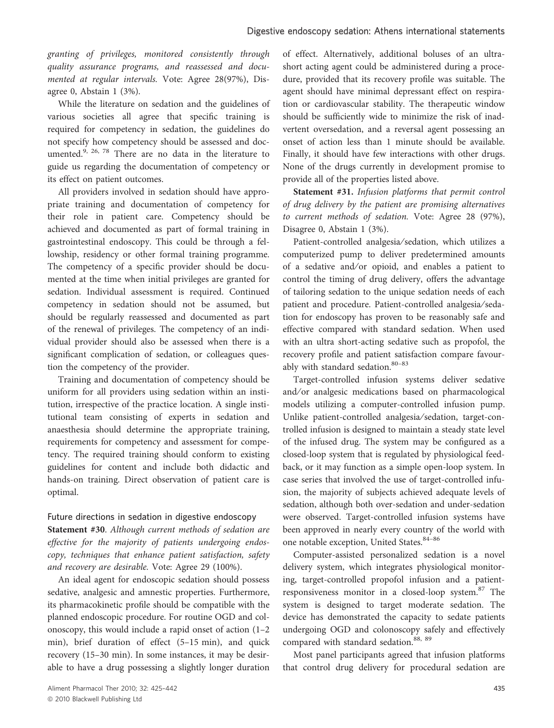### Digestive endoscopy sedation: Athens international statements

granting of privileges, monitored consistently through quality assurance programs, and reassessed and documented at regular intervals. Vote: Agree 28(97%), Disagree 0, Abstain 1 (3%).

While the literature on sedation and the guidelines of various societies all agree that specific training is required for competency in sedation, the guidelines do not specify how competency should be assessed and documented.<sup>9, 26, 78</sup> There are no data in the literature to guide us regarding the documentation of competency or its effect on patient outcomes.

All providers involved in sedation should have appropriate training and documentation of competency for their role in patient care. Competency should be achieved and documented as part of formal training in gastrointestinal endoscopy. This could be through a fellowship, residency or other formal training programme. The competency of a specific provider should be documented at the time when initial privileges are granted for sedation. Individual assessment is required. Continued competency in sedation should not be assumed, but should be regularly reassessed and documented as part of the renewal of privileges. The competency of an individual provider should also be assessed when there is a significant complication of sedation, or colleagues question the competency of the provider.

Training and documentation of competency should be uniform for all providers using sedation within an institution, irrespective of the practice location. A single institutional team consisting of experts in sedation and anaesthesia should determine the appropriate training, requirements for competency and assessment for competency. The required training should conform to existing guidelines for content and include both didactic and hands-on training. Direct observation of patient care is optimal.

#### Future directions in sedation in digestive endoscopy

Statement #30. Although current methods of sedation are effective for the majority of patients undergoing endoscopy, techniques that enhance patient satisfaction, safety and recovery are desirable. Vote: Agree 29 (100%).

An ideal agent for endoscopic sedation should possess sedative, analgesic and amnestic properties. Furthermore, its pharmacokinetic profile should be compatible with the planned endoscopic procedure. For routine OGD and colonoscopy, this would include a rapid onset of action (1–2 min), brief duration of effect (5–15 min), and quick recovery (15–30 min). In some instances, it may be desirable to have a drug possessing a slightly longer duration of effect. Alternatively, additional boluses of an ultrashort acting agent could be administered during a procedure, provided that its recovery profile was suitable. The agent should have minimal depressant effect on respiration or cardiovascular stability. The therapeutic window should be sufficiently wide to minimize the risk of inadvertent oversedation, and a reversal agent possessing an onset of action less than 1 minute should be available. Finally, it should have few interactions with other drugs. None of the drugs currently in development promise to provide all of the properties listed above.

Statement #31. Infusion platforms that permit control of drug delivery by the patient are promising alternatives to current methods of sedation. Vote: Agree 28 (97%), Disagree 0, Abstain 1 (3%).

Patient-controlled analgesia/sedation, which utilizes a computerized pump to deliver predetermined amounts of a sedative and/or opioid, and enables a patient to control the timing of drug delivery, offers the advantage of tailoring sedation to the unique sedation needs of each patient and procedure. Patient-controlled analgesia/sedation for endoscopy has proven to be reasonably safe and effective compared with standard sedation. When used with an ultra short-acting sedative such as propofol, the recovery profile and patient satisfaction compare favourably with standard sedation.<sup>80-83</sup>

Target-controlled infusion systems deliver sedative and/or analgesic medications based on pharmacological models utilizing a computer-controlled infusion pump. Unlike patient-controlled analgesia/sedation, target-controlled infusion is designed to maintain a steady state level of the infused drug. The system may be configured as a closed-loop system that is regulated by physiological feedback, or it may function as a simple open-loop system. In case series that involved the use of target-controlled infusion, the majority of subjects achieved adequate levels of sedation, although both over-sedation and under-sedation were observed. Target-controlled infusion systems have been approved in nearly every country of the world with one notable exception, United States.<sup>84-86</sup>

Computer-assisted personalized sedation is a novel delivery system, which integrates physiological monitoring, target-controlled propofol infusion and a patientresponsiveness monitor in a closed-loop system.<sup>87</sup> The system is designed to target moderate sedation. The device has demonstrated the capacity to sedate patients undergoing OGD and colonoscopy safely and effectively compared with standard sedation.<sup>88, 89</sup>

Most panel participants agreed that infusion platforms that control drug delivery for procedural sedation are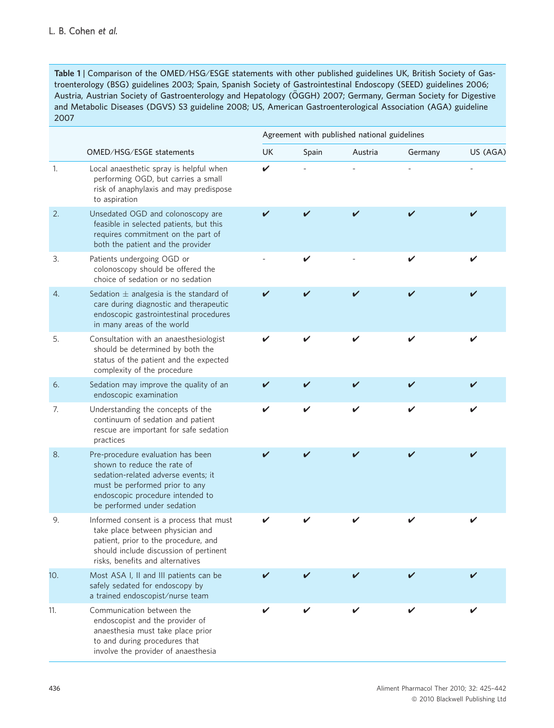Table 1 | Comparison of the OMED/HSG/ESGE statements with other published guidelines UK, British Society of Gastroenterology (BSG) guidelines 2003; Spain, Spanish Society of Gastrointestinal Endoscopy (SEED) guidelines 2006; Austria, Austrian Society of Gastroenterology and Hepatology (ÖGGH) 2007; Germany, German Society for Digestive and Metabolic Diseases (DGVS) S3 guideline 2008; US, American Gastroenterological Association (AGA) guideline 2007

|     |                                                                                                                                                                                                              | Agreement with published national guidelines |       |         |         |          |
|-----|--------------------------------------------------------------------------------------------------------------------------------------------------------------------------------------------------------------|----------------------------------------------|-------|---------|---------|----------|
|     | OMED/HSG/ESGE statements                                                                                                                                                                                     | <b>UK</b>                                    | Spain | Austria | Germany | US (AGA) |
| 1.  | Local anaesthetic spray is helpful when<br>performing OGD, but carries a small<br>risk of anaphylaxis and may predispose<br>to aspiration                                                                    | V                                            |       |         |         |          |
| 2.  | Unsedated OGD and colonoscopy are<br>feasible in selected patients, but this<br>requires commitment on the part of<br>both the patient and the provider                                                      |                                              |       |         |         |          |
| 3.  | Patients undergoing OGD or<br>colonoscopy should be offered the<br>choice of sedation or no sedation                                                                                                         |                                              |       |         |         |          |
| 4.  | Sedation $\pm$ analgesia is the standard of<br>care during diagnostic and therapeutic<br>endoscopic gastrointestinal procedures<br>in many areas of the world                                                |                                              |       |         |         |          |
| 5.  | Consultation with an anaesthesiologist<br>should be determined by both the<br>status of the patient and the expected<br>complexity of the procedure                                                          | ✔                                            |       |         |         | V        |
| 6.  | Sedation may improve the quality of an<br>endoscopic examination                                                                                                                                             | V                                            | ✓     | ✓       | V       | ✓        |
| 7.  | Understanding the concepts of the<br>continuum of sedation and patient<br>rescue are important for safe sedation<br>practices                                                                                |                                              |       |         |         |          |
| 8.  | Pre-procedure evaluation has been<br>shown to reduce the rate of<br>sedation-related adverse events; it<br>must be performed prior to any<br>endoscopic procedure intended to<br>be performed under sedation |                                              |       |         |         |          |
| 9.  | Informed consent is a process that must<br>take place between physician and<br>patient, prior to the procedure, and<br>should include discussion of pertinent<br>risks, benefits and alternatives            |                                              |       |         |         |          |
| 10. | Most ASA I, II and III patients can be<br>safely sedated for endoscopy by<br>a trained endoscopist/nurse team                                                                                                | ✓                                            |       |         | ✔       |          |
| 11. | Communication between the<br>endoscopist and the provider of<br>anaesthesia must take place prior<br>to and during procedures that<br>involve the provider of anaesthesia                                    |                                              |       |         |         |          |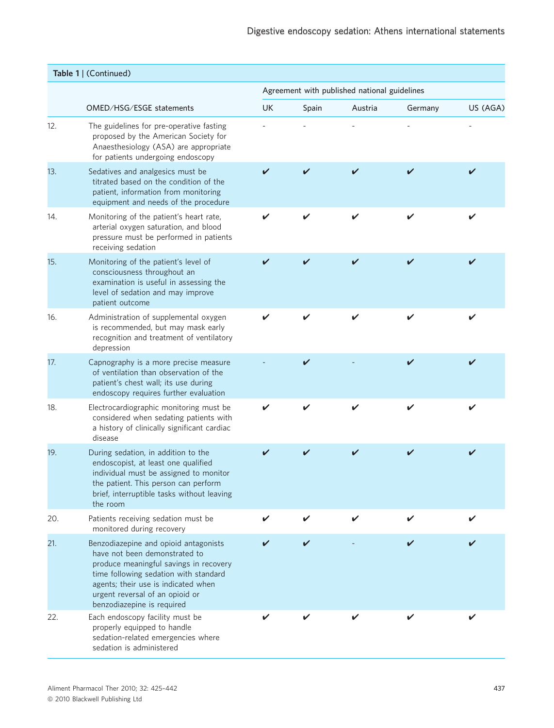|     | Table 1   (Continued)                                                                                                                                                                                                                                             |                                              |       |         |         |          |
|-----|-------------------------------------------------------------------------------------------------------------------------------------------------------------------------------------------------------------------------------------------------------------------|----------------------------------------------|-------|---------|---------|----------|
|     |                                                                                                                                                                                                                                                                   | Agreement with published national guidelines |       |         |         |          |
|     | OMED/HSG/ESGE statements                                                                                                                                                                                                                                          | <b>UK</b>                                    | Spain | Austria | Germany | US (AGA) |
| 12. | The guidelines for pre-operative fasting<br>proposed by the American Society for<br>Anaesthesiology (ASA) are appropriate<br>for patients undergoing endoscopy                                                                                                    |                                              |       |         |         |          |
| 13. | Sedatives and analgesics must be<br>titrated based on the condition of the<br>patient, information from monitoring<br>equipment and needs of the procedure                                                                                                        | ✔                                            |       | ✓       |         |          |
| 14. | Monitoring of the patient's heart rate,<br>arterial oxygen saturation, and blood<br>pressure must be performed in patients<br>receiving sedation                                                                                                                  |                                              |       | ✓       |         |          |
| 15. | Monitoring of the patient's level of<br>consciousness throughout an<br>examination is useful in assessing the<br>level of sedation and may improve<br>patient outcome                                                                                             |                                              |       |         |         |          |
| 16. | Administration of supplemental oxygen<br>is recommended, but may mask early<br>recognition and treatment of ventilatory<br>depression                                                                                                                             |                                              |       |         | ✔       | ✓        |
| 17. | Capnography is a more precise measure<br>of ventilation than observation of the<br>patient's chest wall; its use during<br>endoscopy requires further evaluation                                                                                                  |                                              |       |         |         |          |
| 18. | Electrocardiographic monitoring must be<br>considered when sedating patients with<br>a history of clinically significant cardiac<br>disease                                                                                                                       |                                              |       |         | ✔       |          |
| 19. | During sedation, in addition to the<br>endoscopist, at least one qualified<br>individual must be assigned to monitor<br>the patient. This person can perform<br>brief, interruptible tasks without leaving<br>the room                                            |                                              |       |         | ✓       | ✓        |
| 20. | Patients receiving sedation must be<br>monitored during recovery                                                                                                                                                                                                  | ✓                                            | ✓     | ✓       | ✓       | V        |
| 21. | Benzodiazepine and opioid antagonists<br>have not been demonstrated to<br>produce meaningful savings in recovery<br>time following sedation with standard<br>agents; their use is indicated when<br>urgent reversal of an opioid or<br>benzodiazepine is required |                                              |       |         | ✔       |          |
| 22. | Each endoscopy facility must be<br>properly equipped to handle<br>sedation-related emergencies where<br>sedation is administered                                                                                                                                  |                                              | ✓     | ✓       | ✓       | ✓        |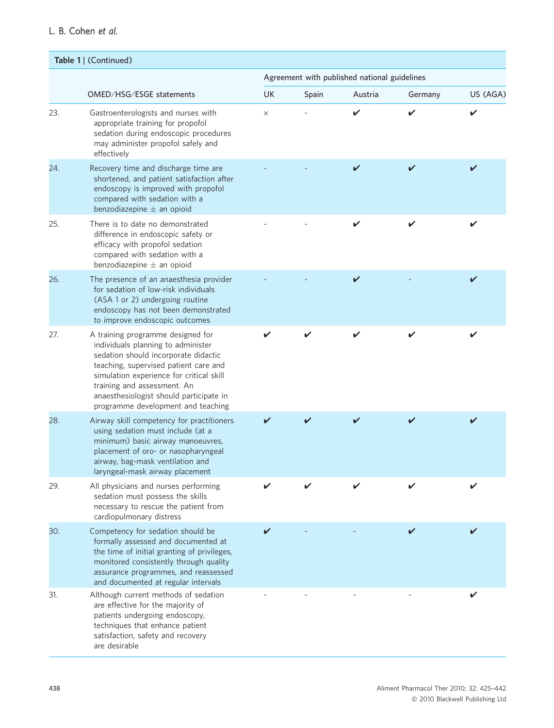| Table 1   (Continued) |                                                                                                                                                                                                                                                                                                                      |                                              |       |         |         |          |  |
|-----------------------|----------------------------------------------------------------------------------------------------------------------------------------------------------------------------------------------------------------------------------------------------------------------------------------------------------------------|----------------------------------------------|-------|---------|---------|----------|--|
|                       |                                                                                                                                                                                                                                                                                                                      | Agreement with published national guidelines |       |         |         |          |  |
|                       | OMED/HSG/ESGE statements                                                                                                                                                                                                                                                                                             | <b>UK</b>                                    | Spain | Austria | Germany | US (AGA) |  |
| 23.                   | Gastroenterologists and nurses with<br>appropriate training for propofol<br>sedation during endoscopic procedures<br>may administer propofol safely and<br>effectively                                                                                                                                               | $\times$                                     |       | ✔       | ✓       | ✓        |  |
| 24.                   | Recovery time and discharge time are<br>shortened, and patient satisfaction after<br>endoscopy is improved with propofol<br>compared with sedation with a<br>benzodiazepine $\pm$ an opioid                                                                                                                          |                                              |       | V       | ✓       | ✓        |  |
| 25.                   | There is to date no demonstrated<br>difference in endoscopic safety or<br>efficacy with propofol sedation<br>compared with sedation with a<br>benzodiazepine $\pm$ an opioid                                                                                                                                         |                                              |       | ✓       | ✓       | ✔        |  |
| 26.                   | The presence of an anaesthesia provider<br>for sedation of low-risk individuals<br>(ASA 1 or 2) undergoing routine<br>endoscopy has not been demonstrated<br>to improve endoscopic outcomes                                                                                                                          |                                              |       | V       |         | ✓        |  |
| 27.                   | A training programme designed for<br>individuals planning to administer<br>sedation should incorporate didactic<br>teaching, supervised patient care and<br>simulation experience for critical skill<br>training and assessment. An<br>anaesthesiologist should participate in<br>programme development and teaching |                                              |       | ✓       | ✓       |          |  |
| 28.                   | Airway skill competency for practitioners<br>using sedation must include (at a<br>minimum) basic airway manoeuvres,<br>placement of oro- or nasopharyngeal<br>airway, bag-mask ventilation and<br>laryngeal-mask airway placement                                                                                    |                                              |       | ✓       | ✓       |          |  |
| 29.                   | All physicians and nurses performing<br>sedation must possess the skills<br>necessary to rescue the patient from<br>cardiopulmonary distress                                                                                                                                                                         |                                              |       |         |         |          |  |
| 30.                   | Competency for sedation should be<br>formally assessed and documented at<br>the time of initial granting of privileges,<br>monitored consistently through quality<br>assurance programmes, and reassessed<br>and documented at regular intervals                                                                     | ✓                                            |       |         | ✔       |          |  |
| 31.                   | Although current methods of sedation<br>are effective for the majority of<br>patients undergoing endoscopy,<br>techniques that enhance patient<br>satisfaction, safety and recovery<br>are desirable                                                                                                                 |                                              |       |         |         |          |  |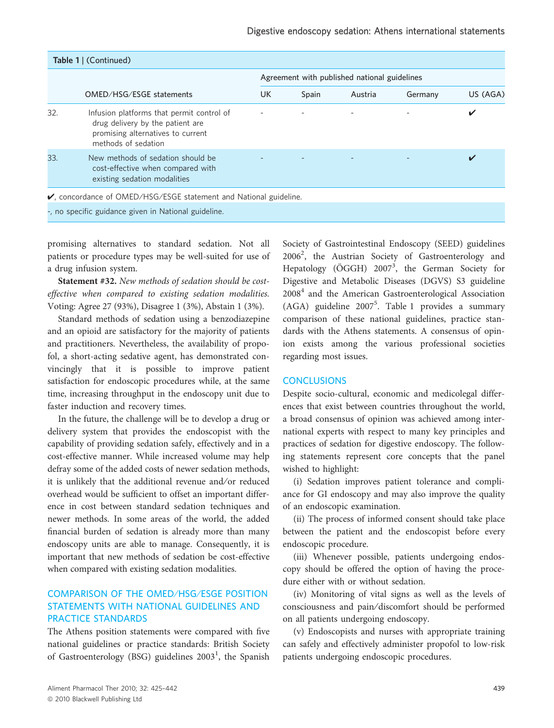| Table 1   (Continued) |                                                                                                                                           |     |                                              |         |         |          |  |  |
|-----------------------|-------------------------------------------------------------------------------------------------------------------------------------------|-----|----------------------------------------------|---------|---------|----------|--|--|
|                       |                                                                                                                                           |     | Agreement with published national guidelines |         |         |          |  |  |
|                       | OMED/HSG/ESGE statements                                                                                                                  | UK. | Spain                                        | Austria | Germany | US (AGA) |  |  |
| 32.                   | Infusion platforms that permit control of<br>drug delivery by the patient are<br>promising alternatives to current<br>methods of sedation |     |                                              |         |         |          |  |  |
| 33.                   | New methods of sedation should be<br>cost-effective when compared with<br>existing sedation modalities                                    |     |                                              |         |         |          |  |  |
|                       | $\checkmark$ , concordance of OMED/HSG/ESGE statement and National guideline.                                                             |     |                                              |         |         |          |  |  |
|                       | -, no specific guidance given in National guideline.                                                                                      |     |                                              |         |         |          |  |  |

promising alternatives to standard sedation. Not all patients or procedure types may be well-suited for use of a drug infusion system.

Statement #32. New methods of sedation should be costeffective when compared to existing sedation modalities. Voting: Agree 27 (93%), Disagree 1 (3%), Abstain 1 (3%).

Standard methods of sedation using a benzodiazepine and an opioid are satisfactory for the majority of patients and practitioners. Nevertheless, the availability of propofol, a short-acting sedative agent, has demonstrated convincingly that it is possible to improve patient satisfaction for endoscopic procedures while, at the same time, increasing throughput in the endoscopy unit due to faster induction and recovery times.

In the future, the challenge will be to develop a drug or delivery system that provides the endoscopist with the capability of providing sedation safely, effectively and in a cost-effective manner. While increased volume may help defray some of the added costs of newer sedation methods, it is unlikely that the additional revenue and/or reduced overhead would be sufficient to offset an important difference in cost between standard sedation techniques and newer methods. In some areas of the world, the added financial burden of sedation is already more than many endoscopy units are able to manage. Consequently, it is important that new methods of sedation be cost-effective when compared with existing sedation modalities.

# COMPARISON OF THE OMED⁄HSG⁄ ESGE POSITION STATEMENTS WITH NATIONAL GUIDELINES AND PRACTICE STANDARDS

The Athens position statements were compared with five national guidelines or practice standards: British Society of Gastroenterology (BSG) guidelines 2003<sup>1</sup>, the Spanish

Society of Gastrointestinal Endoscopy (SEED) guidelines 2006<sup>2</sup>, the Austrian Society of Gastroenterology and Hepatology (ÖGGH) 2007<sup>3</sup>, the German Society for Digestive and Metabolic Diseases (DGVS) S3 guideline 20084 and the American Gastroenterological Association (AGA) guideline 2007<sup>5</sup> . Table 1 provides a summary comparison of these national guidelines, practice standards with the Athens statements. A consensus of opinion exists among the various professional societies regarding most issues.

## **CONCLUSIONS**

Despite socio-cultural, economic and medicolegal differences that exist between countries throughout the world, a broad consensus of opinion was achieved among international experts with respect to many key principles and practices of sedation for digestive endoscopy. The following statements represent core concepts that the panel wished to highlight:

(i) Sedation improves patient tolerance and compliance for GI endoscopy and may also improve the quality of an endoscopic examination.

(ii) The process of informed consent should take place between the patient and the endoscopist before every endoscopic procedure.

(iii) Whenever possible, patients undergoing endoscopy should be offered the option of having the procedure either with or without sedation.

(iv) Monitoring of vital signs as well as the levels of consciousness and pain/discomfort should be performed on all patients undergoing endoscopy.

(v) Endoscopists and nurses with appropriate training can safely and effectively administer propofol to low-risk patients undergoing endoscopic procedures.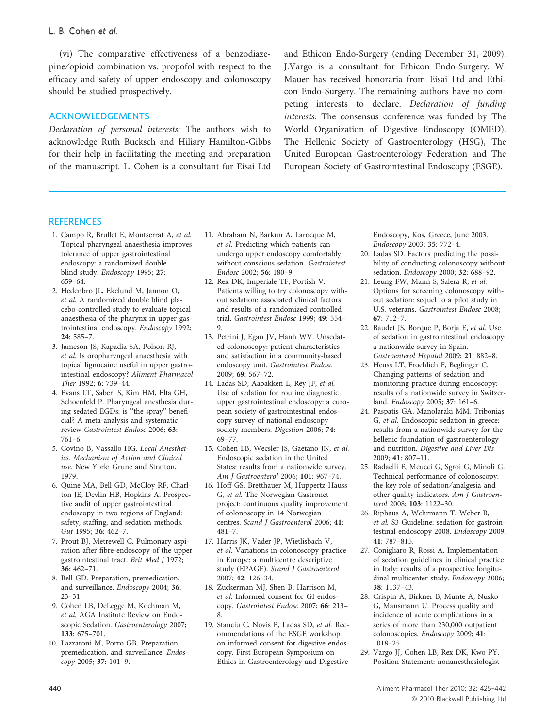(vi) The comparative effectiveness of a benzodiazepine/opioid combination vs. propofol with respect to the efficacy and safety of upper endoscopy and colonoscopy should be studied prospectively.

## ACKNOWLEDGEMENTS

Declaration of personal interests: The authors wish to acknowledge Ruth Bucksch and Hiliary Hamilton-Gibbs for their help in facilitating the meeting and preparation of the manuscript. L. Cohen is a consultant for Eisai Ltd and Ethicon Endo-Surgery (ending December 31, 2009). J.Vargo is a consultant for Ethicon Endo-Surgery. W. Mauer has received honoraria from Eisai Ltd and Ethicon Endo-Surgery. The remaining authors have no competing interests to declare. Declaration of funding interests: The consensus conference was funded by The World Organization of Digestive Endoscopy (OMED), The Hellenic Society of Gastroenterology (HSG), The United European Gastroenterology Federation and The European Society of Gastrointestinal Endoscopy (ESGE).

## **REFERENCES**

- 1. Campo R, Brullet E, Montserrat A, et al. Topical pharyngeal anaesthesia improves tolerance of upper gastrointestinal endoscopy: a randomized double blind study. Endoscopy 1995; 27: 659–64.
- 2. Hedenbro JL, Ekelund M, Jannon O, et al. A randomized double blind placebo-controlled study to evaluate topical anaesthesia of the pharynx in upper gastrointestinal endoscopy. Endoscopy 1992; 24: 585–7.
- 3. Jameson JS, Kapadia SA, Polson RJ, et al. Is oropharyngeal anaesthesia with topical lignocaine useful in upper gastrointestinal endoscopy? Aliment Pharmacol Ther 1992; 6: 739–44.
- 4. Evans LT, Saberi S, Kim HM, Elta GH, Schoenfeld P. Pharyngeal anesthesia during sedated EGDs: is ''the spray'' beneficial? A meta-analysis and systematic review Gastrointest Endosc 2006; 63: 761–6.
- 5. Covino B, Vassallo HG. Local Anesthetics. Mechanism of Action and Clinical use. New York: Grune and Stratton, 1979.
- 6. Quine MA, Bell GD, McCloy RF, Charlton JE, Devlin HB, Hopkins A. Prospective audit of upper gastrointestinal endoscopy in two regions of England: safety, staffing, and sedation methods. Gut 1995; 36: 462–7.
- 7. Prout BJ, Metrewell C. Pulmonary aspiration after fibre-endoscopy of the upper gastrointestinal tract. Brit Med J 1972; 36: 462–71.
- 8. Bell GD. Preparation, premedication, and surveillance. Endoscopy 2004; 36: 23–31.
- 9. Cohen LB, DeLegge M, Kochman M, et al. AGA Institute Review on Endoscopic Sedation. Gastroenterology 2007; 133: 675–701.
- 10. Lazzaroni M, Porro GB. Preparation, premedication, and surveillance. Endoscopy 2005; 37: 101–9.
- 11. Abraham N, Barkun A, Larocque M, et al. Predicting which patients can undergo upper endoscopy comfortably without conscious sedation. Gastrointest Endosc 2002; 56: 180–9.
- 12. Rex DK, Imperiale TF, Portish V. Patients willing to try colonoscopy without sedation: associated clinical factors and results of a randomized controlled trial. Gastrointest Endosc 1999; 49: 554– 9.
- 13. Petrini J, Egan JV, Hanh WV. Unsedated colonoscopy: patient characteristics and satisfaction in a community-based endoscopy unit. Gastrointest Endosc 2009; 69: 567–72.
- 14. Ladas SD, Aabakken L, Rey JF, et al. Use of sedation for routine diagnostic upper gastrointestinal endoscopy: a european society of gastrointestinal endoscopy survey of national endoscopy society members. Digestion 2006; 74: 69–77.
- 15. Cohen LB, Wecsler JS, Gaetano JN, et al. Endoscopic sedation in the United States: results from a nationwide survey. Am J Gastroenterol 2006; 101: 967–74.
- 16. Hoff GS, Bretthauer M, Huppertz-Hauss G, et al. The Norwegian Gastronet project: continuous quality improvement of colonoscopy in 14 Norwegian centres. Scand J Gastroenterol 2006; 41: 481–7.
- 17. Harris JK, Vader JP, Wietlisbach V, et al. Variations in colonoscopy practice in Europe: a multicentre descriptive study (EPAGE). Scand J Gastroenterol 2007; 42: 126–34.
- 18. Zuckerman MJ, Shen B, Harrison M, et al. Informed consent for GI endoscopy. Gastrointest Endosc 2007; 66: 213– 8.
- 19. Stanciu C, Novis B, Ladas SD, et al. Recommendations of the ESGE workshop on informed consent for digestive endoscopy. First European Symposium on Ethics in Gastroenterology and Digestive

Endoscopy, Kos, Greece, June 2003. Endoscopy 2003; 35: 772–4.

- 20. Ladas SD. Factors predicting the possibility of conducting colonoscopy without sedation. Endoscopy 2000; 32: 688–92.
- 21. Leung FW, Mann S, Salera R, et al. Options for screening colonoscopy without sedation: sequel to a pilot study in U.S. veterans. Gastrointest Endosc 2008; 67: 712–7.
- 22. Baudet JS, Borque P, Borja E, et al. Use of sedation in gastrointestinal endoscopy: a nationwide survey in Spain. Gastroenterol Hepatol 2009; 21: 882–8.
- 23. Heuss LT, Froehlich F, Beglinger C. Changing patterns of sedation and monitoring practice during endoscopy: results of a nationwide survey in Switzerland. Endoscopy 2005; 37: 161–6.
- 24. Paspatis GA, Manolaraki MM, Tribonias G, et al. Endoscopic sedation in greece: results from a nationwide survey for the hellenic foundation of gastroenterology and nutrition. Digestive and Liver Dis 2009; 41: 807–11.
- 25. Radaelli F, Meucci G, Sgroi G, Minoli G. Technical performance of colonoscopy: the key role of sedation/analgesia and other quality indicators. Am J Gastroenterol 2008; 103: 1122–30.
- 26. Riphaus A, Wehrmann T, Weber B, et al. S3 Guideline: sedation for gastrointestinal endoscopy 2008. Endoscopy 2009; 41: 787–815.
- 27. Conigliaro R, Rossi A. Implementation of sedation guidelines in clinical practice in Italy: results of a prospective longitudinal multicenter study. Endoscopy 2006; 38: 1137–43.
- 28. Crispin A, Birkner B, Munte A, Nusko G, Mansmann U. Process quality and incidence of acute complications in a series of more than 230,000 outpatient colonoscopies. Endoscopy 2009; 41: 1018–25.
- 29. Vargo JJ, Cohen LB, Rex DK, Kwo PY. Position Statement: nonanesthesiologist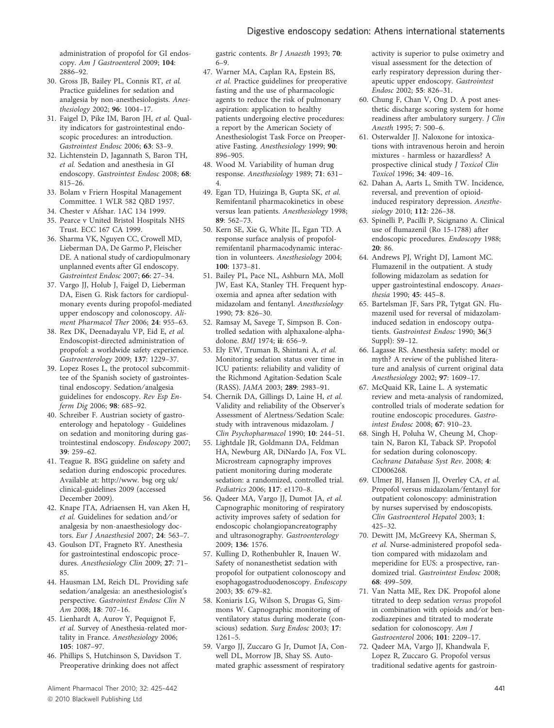administration of propofol for GI endoscopy. Am J Gastroenterol 2009; 104: 2886–92.

- 30. Gross JB, Bailey PL, Connis RT, et al. Practice guidelines for sedation and analgesia by non-anesthesiologists. Anesthesiology 2002; 96: 1004–17.
- 31. Faigel D, Pike IM, Baron JH, et al. Quality indicators for gastrointestinal endoscopic procedures: an introduction. Gastrointest Endosc 2006; 63: S3–9.
- 32. Lichtenstein D, Jagannath S, Baron TH, et al. Sedation and anesthesia in GI endoscopy. Gastrointest Endosc 2008; 68: 815–26.
- 33. Bolam v Friern Hospital Management Committee. 1 WLR 582 QBD 1957.
- 34. Chester v Afshar. 1AC 134 1999.
- 35. Pearce v United Bristol Hospitals NHS Trust. ECC 167 CA 1999.
- 36. Sharma VK, Nguyen CC, Crowell MD, Lieberman DA, De Garmo P, Fleischer DE. A national study of cardiopulmonary unplanned events after GI endoscopy. Gastrointest Endosc 2007; 66: 27–34.
- 37. Vargo JJ, Holub J, Faigel D, Lieberman DA, Eisen G. Risk factors for cardiopulmonary events during propofol-mediated upper endoscopy and colonoscopy. Aliment Pharmacol Ther 2006; 24: 955–63.
- 38. Rex DK, Deenadayalu VP, Eid E, et al. Endoscopist-directed administration of propofol: a worldwide safety experience. Gastroenterology 2009; 137: 1229–37.
- 39. Lopez Roses L, the protocol subcommittee of the Spanish society of gastrointestinal endoscopy. Sedation ⁄ analgesia guidelines for endoscopy. Rev Esp Enferm Dig 2006; 98: 685–92.
- 40. Schreiber F. Austrian society of gastroenterology and hepatology - Guidelines on sedation and monitoring during gastrointestinal endoscopy. Endoscopy 2007; 39: 259–62.
- 41. Teague R. BSG guideline on safety and sedation during endoscopic procedures. Available at: http://www. bsg org uk/ clinical-guidelines 2009 (accessed December 2009).
- 42. Knape JTA, Adriaensen H, van Aken H, et al. Guidelines for sedation and ⁄ or analgesia by non-anaesthesiology doctors. Eur J Anaesthesiol 2007; 24: 563–7.
- 43. Goulson DT, Fragneto RY. Anesthesia for gastrointestinal endoscopic procedures. Anesthesiology Clin 2009; 27: 71– 85.
- 44. Hausman LM, Reich DL. Providing safe sedation ⁄ analgesia: an anesthesiologist's perspective. Gastrointest Endosc Clin N Am 2008; 18: 707–16.
- 45. Lienhardt A, Aurov Y, Pequignot F, et al. Survey of Anesthesia-related mortality in France. Anesthesiology 2006; 105: 1087–97.
- 46. Phillips S, Hutchinson S, Davidson T. Preoperative drinking does not affect

gastric contents. Br J Anaesth 1993; 70: 6–9.

- 47. Warner MA, Caplan RA, Epstein BS, et al. Practice guidelines for preoperative fasting and the use of pharmacologic agents to reduce the risk of pulmonary aspiration: application to healthy patients undergoing elective procedures: a report by the American Society of Anesthesiologist Task Force on Preoperative Fasting. Anesthesiology 1999; 90: 896–905.
- 48. Wood M. Variability of human drug response. Anesthesiology 1989; 71: 631– 4.
- 49. Egan TD, Huizinga B, Gupta SK, et al. Remifentanil pharmacokinetics in obese versus lean patients. Anesthesiology 1998; 89: 562–73.
- 50. Kern SE, Xie G, White JL, Egan TD. A response surface analysis of propofolremifentanil pharmacodynamic interaction in volunteers. Anesthesiology 2004; 100: 1373–81.
- 51. Bailey PL, Pace NL, Ashburn MA, Moll JW, East KA, Stanley TH. Frequent hypoxemia and apnea after sedation with midazolam and fentanyl. Anesthesiology 1990; 73: 826–30.
- 52. Ramsay M, Savege T, Simpson B. Controlled sedation with alphaxalone-alphadolone. BMJ 1974; ii: 656–9.
- 53. Ely EW, Truman B, Shintani A, et al. Monitoring sedation status over time in ICU patients: reliability and validity of the Richmond Agitation-Sedation Scale (RASS). JAMA 2003; 289: 2983–91.
- 54. Chernik DA, Gillings D, Laine H, et al. Validity and reliability of the Observer's Assessment of Alertness⁄ Sedation Scale: study with intravenous midazolam. J Clin Psychopharmacol 1990; 10: 244–51.
- 55. Lightdale JR, Goldmann DA, Feldman HA, Newburg AR, DiNardo JA, Fox VL. Microstream capnography improves patient monitoring during moderate sedation: a randomized, controlled trial. Pediatrics 2006; 117: e1170–8.
- 56. Qadeer MA, Vargo JJ, Dumot JA, et al. Capnographic monitoring of respiratory activity improves safety of sedation for endoscopic cholangiopancreatography and ultrasonography. Gastroenterology 2009; 136: 1576.
- 57. Kulling D, Rothenbuhler R, Inauen W. Safety of nonanesthetist sedation with propofol for outpatient colonoscopy and esophagogastroduodenoscopy. Endoscopy 2003; 35: 679–82.
- 58. Koniaris LG, Wilson S, Drugas G, Simmons W. Capnographic monitoring of ventilatory status during moderate (conscious) sedation. Surg Endosc 2003; 17: 1261–5.
- 59. Vargo JJ, Zuccaro G Jr, Dumot JA, Conwell DL, Morrow JB, Shay SS. Automated graphic assessment of respiratory

activity is superior to pulse oximetry and visual assessment for the detection of early respiratory depression during therapeutic upper endoscopy. Gastrointest Endosc 2002; 55: 826–31.

- 60. Chung F, Chan V, Ong D. A post anesthetic discharge scoring system for home readiness after ambulatory surgery. J Clin Anesth 1995; 7: 500–6.
- 61. Osterwalder JJ. Naloxone for intoxications with intravenous heroin and heroin mixtures - harmless or hazardless? A prospective clinical study J Toxicol Clin Toxicol 1996; 34: 409–16.
- 62. Dahan A, Aarts L, Smith TW. Incidence, reversal, and prevention of opioidinduced respiratory depression. Anesthesiology 2010; 112: 226–38.
- 63. Spinelli P, Pacilli P, Sicignano A. Clinical use of flumazenil (Ro 15-1788) after endoscopic procedures. Endoscopy 1988; 20: 86.
- 64. Andrews PJ, Wright DJ, Lamont MC. Flumazenil in the outpatient. A study following midazolam as sedation for upper gastrointestinal endoscopy. Anaesthesia 1990; 45: 445–8.
- 65. Bartelsman JF, Sars PR, Tytgat GN. Flumazenil used for reversal of midazolaminduced sedation in endoscopy outpatients. Gastrointest Endosc 1990; 36(3 Suppl): S9–12.
- 66. Lagasse RS. Anesthesia safety: model or myth? A review of the published literature and analysis of current original data Anesthesiology 2002; 97: 1609–17.
- 67. McQuaid KR, Laine L. A systematic review and meta-analysis of randomized, controlled trials of moderate sedation for routine endoscopic procedures. Gastrointest Endosc 2008; 67: 910–23.
- 68. Singh H, Poluha W, Cheung M, Choptain N, Baron KI, Taback SP. Propofol for sedation during colonoscopy. Cochrane Database Syst Rev. 2008; 4: CD006268.
- 69. Ulmer BJ, Hansen JJ, Overley CA, et al. Propofol versus midazolam/fentanyl for outpatient colonoscopy: administration by nurses supervised by endoscopists. Clin Gastroenterol Hepatol 2003; 1: 425–32.
- 70. Dewitt JM, McGreevy KA, Sherman S, et al. Nurse-administered propofol sedation compared with midazolam and meperidine for EUS: a prospective, randomized trial. Gastrointest Endosc 2008; 68: 499–509.
- 71. Van Natta ME, Rex DK. Propofol alone titrated to deep sedation versus propofol in combination with opioids and/or benzodiazepines and titrated to moderate sedation for colonoscopy. Am J Gastroenterol 2006; 101: 2209–17.
- 72. Qadeer MA, Vargo JJ, Khandwala F, Lopez R, Zuccaro G. Propofol versus traditional sedative agents for gastroin-